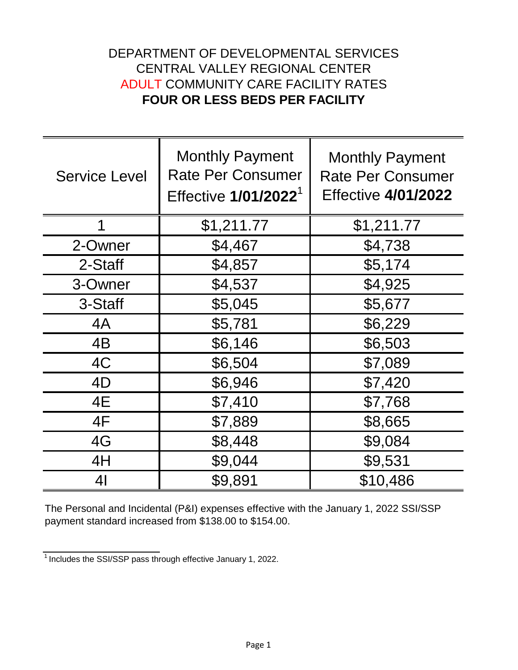## DEPARTMENT OF DEVELOPMENTAL SERVICES CENTRAL VALLEY REGIONAL CENTER ADULT COMMUNITY CARE FACILITY RATES **FOUR OR LESS BEDS PER FACILITY**

| <b>Service Level</b> | <b>Monthly Payment</b><br><b>Rate Per Consumer</b><br>Effective 1/01/2022 <sup>1</sup> | <b>Monthly Payment</b><br><b>Rate Per Consumer</b><br><b>Effective 4/01/2022</b> |
|----------------------|----------------------------------------------------------------------------------------|----------------------------------------------------------------------------------|
|                      | \$1,211.77                                                                             | \$1,211.77                                                                       |
| 2-Owner              | \$4,467                                                                                | \$4,738                                                                          |
| 2-Staff              | \$4,857                                                                                | \$5,174                                                                          |
| 3-Owner              | \$4,537                                                                                | \$4,925                                                                          |
| 3-Staff              | \$5,045                                                                                | \$5,677                                                                          |
| 4A                   | \$5,781                                                                                | \$6,229                                                                          |
| 4B                   | \$6,146                                                                                | \$6,503                                                                          |
| 4C                   | \$6,504                                                                                | \$7,089                                                                          |
| 4D                   | \$6,946                                                                                | \$7,420                                                                          |
| 4E                   | \$7,410                                                                                | \$7,768                                                                          |
| 4F                   | \$7,889                                                                                | \$8,665                                                                          |
| 4G                   | \$8,448                                                                                | \$9,084                                                                          |
| 4H                   | \$9,044                                                                                | \$9,531                                                                          |
| 41                   | \$9,891                                                                                | \$10,486                                                                         |

The Personal and Incidental (P&I) expenses effective with the January 1, 2022 SSI/SSP payment standard increased from \$138.00 to \$154.00.

 $\frac{1}{1}$ Includes the SSI/SSP pass through effective January 1, 2022.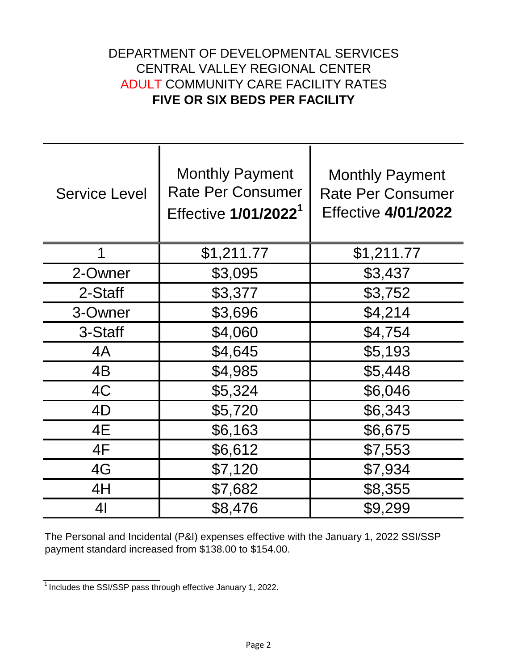## DEPARTMENT OF DEVELOPMENTAL SERVICES CENTRAL VALLEY REGIONAL CENTER ADULT COMMUNITY CARE FACILITY RATES **FIVE OR SIX BEDS PER FACILITY**

| <b>Service Level</b> | <b>Monthly Payment</b><br><b>Rate Per Consumer</b><br>Effective 1/01/2022 <sup>1</sup> | <b>Monthly Payment</b><br><b>Rate Per Consumer</b><br><b>Effective 4/01/2022</b> |
|----------------------|----------------------------------------------------------------------------------------|----------------------------------------------------------------------------------|
| 1                    | \$1,211.77                                                                             | \$1,211.77                                                                       |
| 2-Owner              | \$3,095                                                                                | \$3,437                                                                          |
| 2-Staff              | \$3,377                                                                                | \$3,752                                                                          |
| 3-Owner              | \$3,696                                                                                | \$4,214                                                                          |
| 3-Staff              | \$4,060                                                                                | \$4,754                                                                          |
| 4A                   | \$4,645                                                                                | \$5,193                                                                          |
| 4B                   | \$4,985                                                                                | \$5,448                                                                          |
| 4C                   | \$5,324                                                                                | \$6,046                                                                          |
| 4D                   | \$5,720                                                                                | \$6,343                                                                          |
| 4E                   | \$6,163                                                                                | \$6,675                                                                          |
| 4F                   | \$6,612                                                                                | \$7,553                                                                          |
| 4G                   | \$7,120                                                                                | \$7,934                                                                          |
| 4H                   | \$7,682                                                                                | \$8,355                                                                          |
| 41                   | \$8,476                                                                                | \$9,299                                                                          |

The Personal and Incidental (P&I) expenses effective with the January 1, 2022 SSI/SSP payment standard increased from \$138.00 to \$154.00.

 $\frac{1}{1}$  Includes the SSI/SSP pass through effective January 1, 2022.